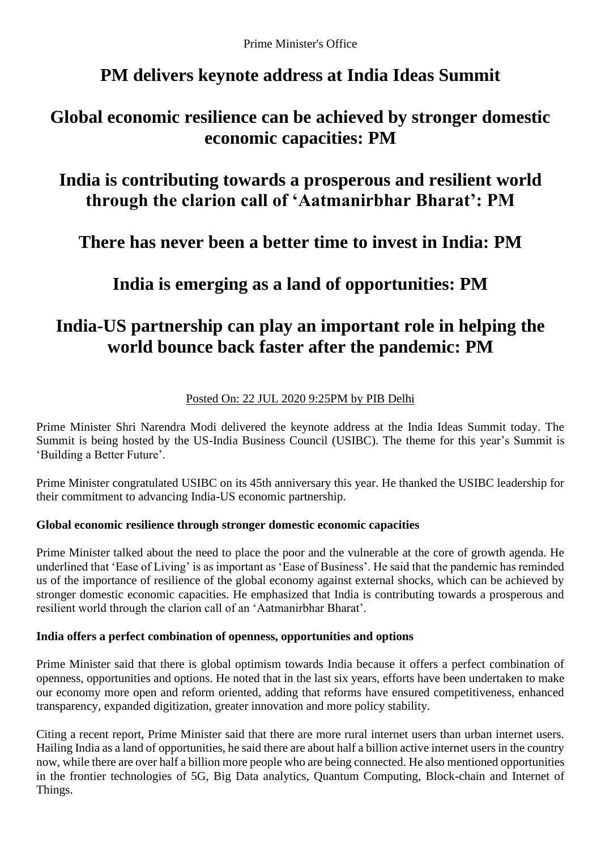Prime Minister's Office

## **PM delivers keynote address at India Ideas Summit**

### **Global economic resilience can be achieved by stronger domestic economic capacities: PM**

## **India is contributing towards a prosperous and resilient world through the clarion call of 'Aatmanirbhar Bharat': PM**

**There has never been a better time to invest in India: PM**

## **India is emerging as a land of opportunities: PM**

# **India-US partnership can play an important role in helping the world bounce back faster after the pandemic: PM**

### Posted On: 22 JUL 2020 9:25PM by PIB Delhi

Prime Minister Shri Narendra Modi delivered the keynote address at the India Ideas Summit today. The Summit is being hosted by the US-India Business Council (USIBC). The theme for this year's Summit is 'Building a Better Future'.

Prime Minister congratulated USIBC on its 45th anniversary this year. He thanked the USIBC leadership for their commitment to advancing India-US economic partnership.

### **Global economic resilience through stronger domestic economic capacities**

Prime Minister talked about the need to place the poor and the vulnerable at the core of growth agenda. He underlined that 'Ease of Living' is as important as 'Ease of Business'. He said that the pandemic has reminded us of the importance of resilience of the global economy against external shocks, which can be achieved by stronger domestic economic capacities. He emphasized that India is contributing towards a prosperous and resilient world through the clarion call of an 'Aatmanirbhar Bharat'.

#### **India offers a perfect combination of openness, opportunities and options**

Prime Minister said that there is global optimism towards India because it offers a perfect combination of openness, opportunities and options. He noted that in the last six years, efforts have been undertaken to make our economy more open and reform oriented, adding that reforms have ensured competitiveness, enhanced transparency, expanded digitization, greater innovation and more policy stability.

Citing a recent report, Prime Minister said that there are more rural internet users than urban internet users. Hailing India as a land of opportunities, he said there are about half a billion active internet users in the country now, while there are over half a billion more people who are being connected. He also mentioned opportunities in the frontier technologies of 5G, Big Data analytics, Quantum Computing, Block-chain and Internet of Things.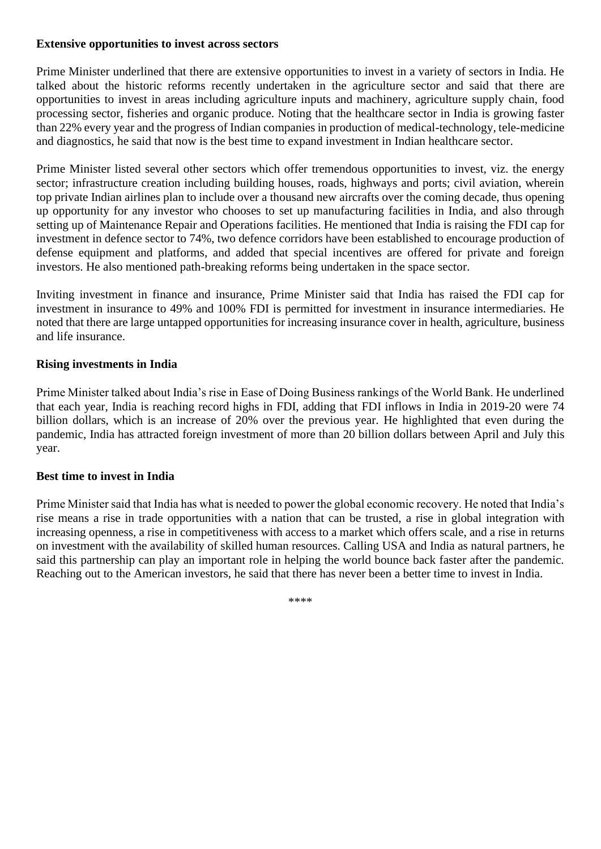#### **Extensive opportunities to invest across sectors**

Prime Minister underlined that there are extensive opportunities to invest in a variety of sectors in India. He talked about the historic reforms recently undertaken in the agriculture sector and said that there are opportunities to invest in areas including agriculture inputs and machinery, agriculture supply chain, food processing sector, fisheries and organic produce. Noting that the healthcare sector in India is growing faster than 22% every year and the progress of Indian companies in production of medical-technology, tele-medicine and diagnostics, he said that now is the best time to expand investment in Indian healthcare sector.

Prime Minister listed several other sectors which offer tremendous opportunities to invest, viz. the energy sector; infrastructure creation including building houses, roads, highways and ports; civil aviation, wherein top private Indian airlines plan to include over a thousand new aircrafts over the coming decade, thus opening up opportunity for any investor who chooses to set up manufacturing facilities in India, and also through setting up of Maintenance Repair and Operations facilities. He mentioned that India is raising the FDI cap for investment in defence sector to 74%, two defence corridors have been established to encourage production of defense equipment and platforms, and added that special incentives are offered for private and foreign investors. He also mentioned path-breaking reforms being undertaken in the space sector.

Inviting investment in finance and insurance, Prime Minister said that India has raised the FDI cap for investment in insurance to 49% and 100% FDI is permitted for investment in insurance intermediaries. He noted that there are large untapped opportunities for increasing insurance cover in health, agriculture, business and life insurance.

#### **Rising investments in India**

Prime Minister talked about India's rise in Ease of Doing Business rankings of the World Bank. He underlined that each year, India is reaching record highs in FDI, adding that FDI inflows in India in 2019-20 were 74 billion dollars, which is an increase of 20% over the previous year. He highlighted that even during the pandemic, India has attracted foreign investment of more than 20 billion dollars between April and July this year.

#### **Best time to invest in India**

Prime Minister said that India has what is needed to power the global economic recovery. He noted that India's rise means a rise in trade opportunities with a nation that can be trusted, a rise in global integration with increasing openness, a rise in competitiveness with access to a market which offers scale, and a rise in returns on investment with the availability of skilled human resources. Calling USA and India as natural partners, he said this partnership can play an important role in helping the world bounce back faster after the pandemic. Reaching out to the American investors, he said that there has never been a better time to invest in India.

\*\*\*\*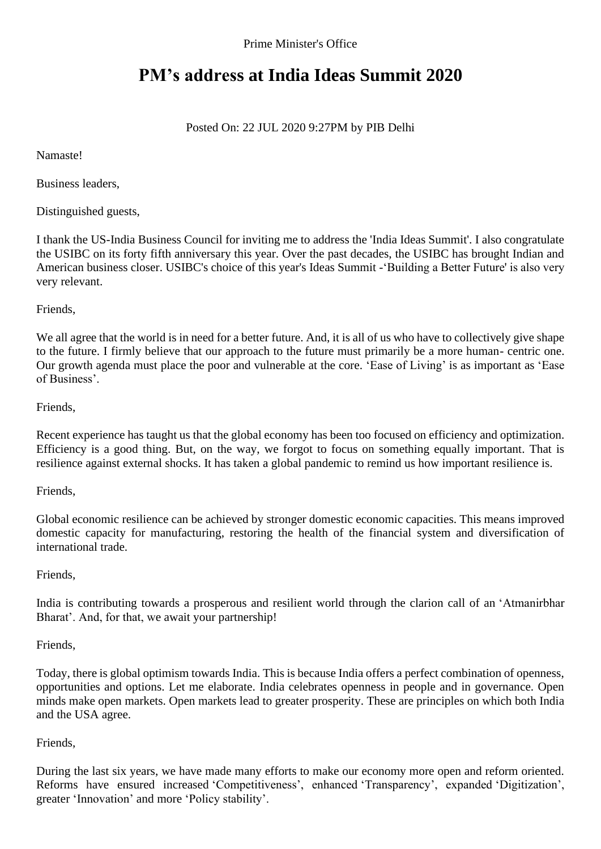Prime Minister's Office

## **PM's address at India Ideas Summit 2020**

### Posted On: 22 JUL 2020 9:27PM by PIB Delhi

Namaste!

Business leaders,

Distinguished guests,

I thank the US-India Business Council for inviting me to address the 'India Ideas Summit'. I also congratulate the USIBC on its forty fifth anniversary this year. Over the past decades, the USIBC has brought Indian and American business closer. USIBC's choice of this year's Ideas Summit -'Building a Better Future' is also very very relevant.

Friends,

We all agree that the world is in need for a better future. And, it is all of us who have to collectively give shape to the future. I firmly believe that our approach to the future must primarily be a more human- centric one. Our growth agenda must place the poor and vulnerable at the core. 'Ease of Living' is as important as 'Ease of Business'.

#### Friends,

Recent experience has taught us that the global economy has been too focused on efficiency and optimization. Efficiency is a good thing. But, on the way, we forgot to focus on something equally important. That is resilience against external shocks. It has taken a global pandemic to remind us how important resilience is.

Friends,

Global economic resilience can be achieved by stronger domestic economic capacities. This means improved domestic capacity for manufacturing, restoring the health of the financial system and diversification of international trade.

#### Friends,

India is contributing towards a prosperous and resilient world through the clarion call of an 'Atmanirbhar Bharat'. And, for that, we await your partnership!

#### Friends,

Today, there is global optimism towards India. This is because India offers a perfect combination of openness, opportunities and options. Let me elaborate. India celebrates openness in people and in governance. Open minds make open markets. Open markets lead to greater prosperity. These are principles on which both India and the USA agree.

#### Friends,

During the last six years, we have made many efforts to make our economy more open and reform oriented. Reforms have ensured increased 'Competitiveness', enhanced 'Transparency', expanded 'Digitization', greater 'Innovation' and more 'Policy stability'.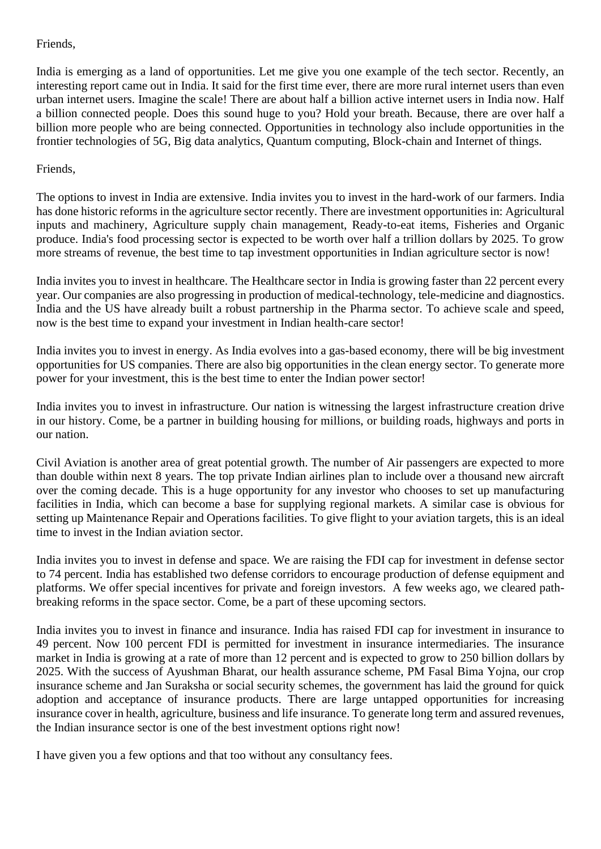#### Friends,

India is emerging as a land of opportunities. Let me give you one example of the tech sector. Recently, an interesting report came out in India. It said for the first time ever, there are more rural internet users than even urban internet users. Imagine the scale! There are about half a billion active internet users in India now. Half a billion connected people. Does this sound huge to you? Hold your breath. Because, there are over half a billion more people who are being connected. Opportunities in technology also include opportunities in the frontier technologies of 5G, Big data analytics, Quantum computing, Block-chain and Internet of things.

#### Friends,

The options to invest in India are extensive. India invites you to invest in the hard-work of our farmers. India has done historic reforms in the agriculture sector recently. There are investment opportunities in: Agricultural inputs and machinery, Agriculture supply chain management, Ready-to-eat items, Fisheries and Organic produce. India's food processing sector is expected to be worth over half a trillion dollars by 2025. To grow more streams of revenue, the best time to tap investment opportunities in Indian agriculture sector is now!

India invites you to invest in healthcare. The Healthcare sector in India is growing faster than 22 percent every year. Our companies are also progressing in production of medical-technology, tele-medicine and diagnostics. India and the US have already built a robust partnership in the Pharma sector. To achieve scale and speed, now is the best time to expand your investment in Indian health-care sector!

India invites you to invest in energy. As India evolves into a gas-based economy, there will be big investment opportunities for US companies. There are also big opportunities in the clean energy sector. To generate more power for your investment, this is the best time to enter the Indian power sector!

India invites you to invest in infrastructure. Our nation is witnessing the largest infrastructure creation drive in our history. Come, be a partner in building housing for millions, or building roads, highways and ports in our nation.

Civil Aviation is another area of great potential growth. The number of Air passengers are expected to more than double within next 8 years. The top private Indian airlines plan to include over a thousand new aircraft over the coming decade. This is a huge opportunity for any investor who chooses to set up manufacturing facilities in India, which can become a base for supplying regional markets. A similar case is obvious for setting up Maintenance Repair and Operations facilities. To give flight to your aviation targets, this is an ideal time to invest in the Indian aviation sector.

India invites you to invest in defense and space. We are raising the FDI cap for investment in defense sector to 74 percent. India has established two defense corridors to encourage production of defense equipment and platforms. We offer special incentives for private and foreign investors. A few weeks ago, we cleared pathbreaking reforms in the space sector. Come, be a part of these upcoming sectors.

India invites you to invest in finance and insurance. India has raised FDI cap for investment in insurance to 49 percent. Now 100 percent FDI is permitted for investment in insurance intermediaries. The insurance market in India is growing at a rate of more than 12 percent and is expected to grow to 250 billion dollars by 2025. With the success of Ayushman Bharat, our health assurance scheme, PM Fasal Bima Yojna, our crop insurance scheme and Jan Suraksha or social security schemes, the government has laid the ground for quick adoption and acceptance of insurance products. There are large untapped opportunities for increasing insurance cover in health, agriculture, business and life insurance. To generate long term and assured revenues, the Indian insurance sector is one of the best investment options right now!

I have given you a few options and that too without any consultancy fees.